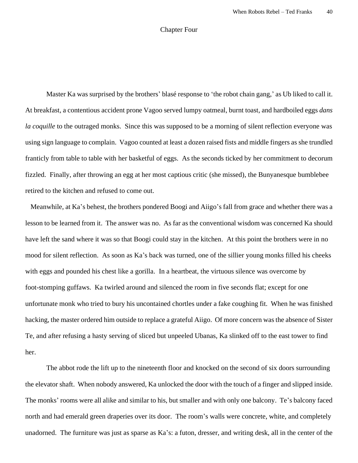## Chapter Four

Master Ka was surprised by the brothers' blasé response to 'the robot chain gang,' as Ub liked to call it. At breakfast, a contentious accident prone Vagoo served lumpy oatmeal, burnt toast, and hardboiled eggs *dans la coquille* to the outraged monks. Since this was supposed to be a morning of silent reflection everyone was using sign language to complain. Vagoo counted at least a dozen raised fists and middle fingers as she trundled franticly from table to table with her basketful of eggs. As the seconds ticked by her commitment to decorum fizzled. Finally, after throwing an egg at her most captious critic (she missed), the Bunyanesque bumblebee retired to the kitchen and refused to come out.

 Meanwhile, at Ka's behest, the brothers pondered Boogi and Aiigo's fall from grace and whether there was a lesson to be learned from it. The answer was no. As far as the conventional wisdom was concerned Ka should have left the sand where it was so that Boogi could stay in the kitchen. At this point the brothers were in no mood for silent reflection. As soon as Ka's back was turned, one of the sillier young monks filled his cheeks with eggs and pounded his chest like a gorilla. In a heartbeat, the virtuous silence was overcome by foot-stomping guffaws. Ka twirled around and silenced the room in five seconds flat; except for one unfortunate monk who tried to bury his uncontained chortles under a fake coughing fit. When he was finished hacking, the master ordered him outside to replace a grateful Aiigo. Of more concern was the absence of Sister Te, and after refusing a hasty serving of sliced but unpeeled Ubanas, Ka slinked off to the east tower to find her.

The abbot rode the lift up to the nineteenth floor and knocked on the second of six doors surrounding the elevator shaft. When nobody answered, Ka unlocked the door with the touch of a finger and slipped inside. The monks' rooms were all alike and similar to his, but smaller and with only one balcony. Te's balcony faced north and had emerald green draperies over its door. The room's walls were concrete, white, and completely unadorned. The furniture was just as sparse as Ka's: a futon, dresser, and writing desk, all in the center of the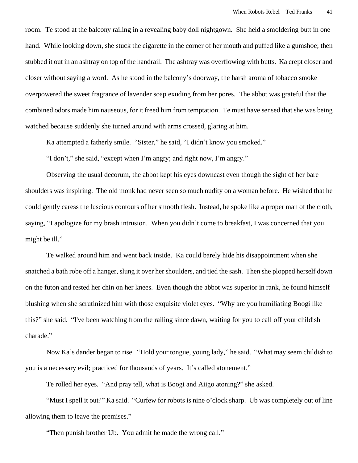room. Te stood at the balcony railing in a revealing baby doll nightgown. She held a smoldering butt in one hand. While looking down, she stuck the cigarette in the corner of her mouth and puffed like a gumshoe; then stubbed it out in an ashtray on top of the handrail. The ashtray was overflowing with butts. Ka crept closer and closer without saying a word. As he stood in the balcony's doorway, the harsh aroma of tobacco smoke overpowered the sweet fragrance of lavender soap exuding from her pores. The abbot was grateful that the combined odors made him nauseous, for it freed him from temptation. Te must have sensed that she was being watched because suddenly she turned around with arms crossed, glaring at him.

Ka attempted a fatherly smile. "Sister," he said, "I didn't know you smoked."

"I don't," she said, "except when I'm angry; and right now, I'm angry."

Observing the usual decorum, the abbot kept his eyes downcast even though the sight of her bare shoulders was inspiring. The old monk had never seen so much nudity on a woman before. He wished that he could gently caress the luscious contours of her smooth flesh. Instead, he spoke like a proper man of the cloth, saying, "I apologize for my brash intrusion. When you didn't come to breakfast, I was concerned that you might be ill."

Te walked around him and went back inside. Ka could barely hide his disappointment when she snatched a bath robe off a hanger, slung it over her shoulders, and tied the sash. Then she plopped herself down on the futon and rested her chin on her knees. Even though the abbot was superior in rank, he found himself blushing when she scrutinized him with those exquisite violet eyes. "Why are you humiliating Boogi like this?" she said. "I've been watching from the railing since dawn, waiting for you to call off your childish charade."

Now Ka's dander began to rise. "Hold your tongue, young lady," he said. "What may seem childish to you is a necessary evil; practiced for thousands of years. It's called atonement."

Te rolled her eyes. "And pray tell, what is Boogi and Aiigo atoning?" she asked.

"Must I spell it out?" Ka said. "Curfew for robots is nine o'clock sharp. Ub was completely out of line allowing them to leave the premises."

"Then punish brother Ub. You admit he made the wrong call."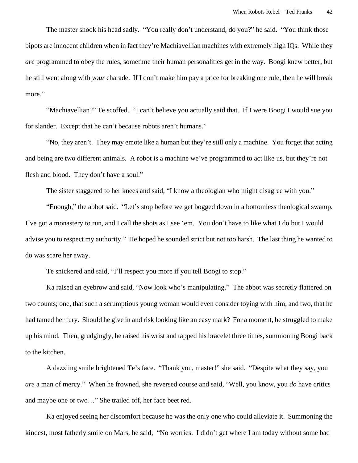The master shook his head sadly. "You really don't understand, do you?" he said. "You think those bipots are innocent children when in fact they're Machiavellian machines with extremely high IQs. While they *are* programmed to obey the rules, sometime their human personalities get in the way. Boogi knew better, but he still went along with *your* charade. If I don't make him pay a price for breaking one rule, then he will break more."

"Machiavellian?" Te scoffed. "I can't believe you actually said that. If I were Boogi I would sue you for slander. Except that he can't because robots aren't humans."

"No, they aren't. They may emote like a human but they're still only a machine. You forget that acting and being are two different animals. A robot is a machine we've programmed to act like us, but they're not flesh and blood. They don't have a soul."

The sister staggered to her knees and said, "I know a theologian who might disagree with you."

"Enough," the abbot said. "Let's stop before we get bogged down in a bottomless theological swamp. I've got a monastery to run, and I call the shots as I see 'em. You don't have to like what I do but I would advise you to respect my authority." He hoped he sounded strict but not too harsh. The last thing he wanted to do was scare her away.

Te snickered and said, "I'll respect you more if you tell Boogi to stop."

Ka raised an eyebrow and said, "Now look who's manipulating." The abbot was secretly flattered on two counts; one, that such a scrumptious young woman would even consider toying with him, and two, that he had tamed her fury. Should he give in and risk looking like an easy mark? For a moment, he struggled to make up his mind. Then, grudgingly, he raised his wrist and tapped his bracelet three times, summoning Boogi back to the kitchen.

A dazzling smile brightened Te's face. "Thank you, master!" she said. "Despite what they say, you *are* a man of mercy." When he frowned, she reversed course and said, "Well, you know, you *do* have critics and maybe one or two…" She trailed off, her face beet red.

Ka enjoyed seeing her discomfort because he was the only one who could alleviate it. Summoning the kindest, most fatherly smile on Mars, he said, "No worries. I didn't get where I am today without some bad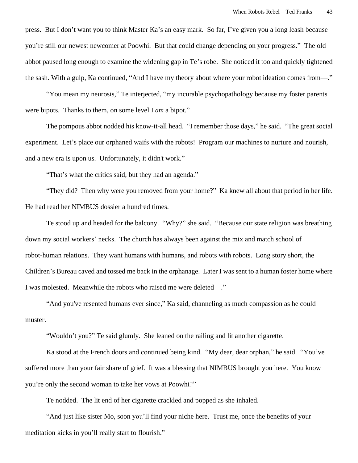press. But I don't want you to think Master Ka's an easy mark. So far, I've given you a long leash because you're still our newest newcomer at Poowhi. But that could change depending on your progress." The old abbot paused long enough to examine the widening gap in Te's robe. She noticed it too and quickly tightened the sash. With a gulp, Ka continued, "And I have my theory about where your robot ideation comes from—."

"You mean my neurosis," Te interjected, "my incurable psychopathology because my foster parents were bipots. Thanks to them, on some level I *am* a bipot."

The pompous abbot nodded his know-it-all head. "I remember those days," he said. "The great social experiment. Let's place our orphaned waifs with the robots! Program our machines to nurture and nourish, and a new era is upon us. Unfortunately, it didn't work."

"That's what the critics said, but they had an agenda."

"They did? Then why were you removed from your home?" Ka knew all about that period in her life. He had read her NIMBUS dossier a hundred times.

Te stood up and headed for the balcony. "Why?" she said. "Because our state religion was breathing down my social workers' necks. The church has always been against the mix and match school of robot-human relations. They want humans with humans, and robots with robots. Long story short, the Children's Bureau caved and tossed me back in the orphanage. Later I was sent to a human foster home where I was molested. Meanwhile the robots who raised me were deleted—."

"And you've resented humans ever since," Ka said, channeling as much compassion as he could muster.

"Wouldn't you?" Te said glumly. She leaned on the railing and lit another cigarette.

Ka stood at the French doors and continued being kind. "My dear, dear orphan," he said. "You've suffered more than your fair share of grief. It was a blessing that NIMBUS brought you here. You know you're only the second woman to take her vows at Poowhi?"

Te nodded. The lit end of her cigarette crackled and popped as she inhaled.

"And just like sister Mo, soon you'll find your niche here. Trust me, once the benefits of your meditation kicks in you'll really start to flourish."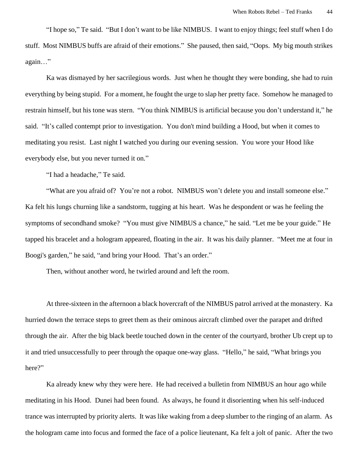"I hope so," Te said. "But I don't want to be like NIMBUS. I want to enjoy things; feel stuff when I do stuff. Most NIMBUS buffs are afraid of their emotions." She paused, then said, "Oops. My big mouth strikes again…"

Ka was dismayed by her sacrilegious words. Just when he thought they were bonding, she had to ruin everything by being stupid. For a moment, he fought the urge to slap her pretty face. Somehow he managed to restrain himself, but his tone was stern. "You think NIMBUS is artificial because you don't understand it," he said. "It's called contempt prior to investigation. You don't mind building a Hood, but when it comes to meditating you resist. Last night I watched you during our evening session. You wore your Hood like everybody else, but you never turned it on."

"I had a headache," Te said.

"What are you afraid of? You're not a robot. NIMBUS won't delete you and install someone else." Ka felt his lungs churning like a sandstorm, tugging at his heart. Was he despondent or was he feeling the symptoms of secondhand smoke? "You must give NIMBUS a chance," he said. "Let me be your guide." He tapped his bracelet and a hologram appeared, floating in the air. It was his daily planner. "Meet me at four in Boogi's garden," he said, "and bring your Hood. That's an order."

Then, without another word, he twirled around and left the room.

At three-sixteen in the afternoon a black hovercraft of the NIMBUS patrol arrived at the monastery. Ka hurried down the terrace steps to greet them as their ominous aircraft climbed over the parapet and drifted through the air. After the big black beetle touched down in the center of the courtyard, brother Ub crept up to it and tried unsuccessfully to peer through the opaque one-way glass. "Hello," he said, "What brings you here?"

Ka already knew why they were here. He had received a bulletin from NIMBUS an hour ago while meditating in his Hood. Dunei had been found. As always, he found it disorienting when his self-induced trance was interrupted by priority alerts. It was like waking from a deep slumber to the ringing of an alarm. As the hologram came into focus and formed the face of a police lieutenant, Ka felt a jolt of panic. After the two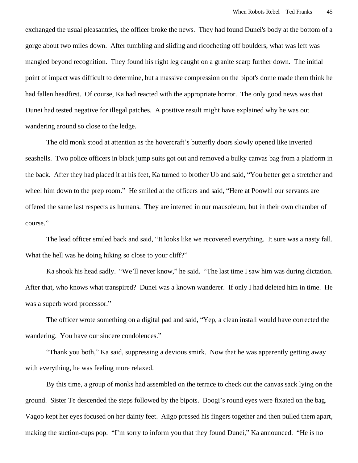exchanged the usual pleasantries, the officer broke the news. They had found Dunei's body at the bottom of a gorge about two miles down. After tumbling and sliding and ricocheting off boulders, what was left was mangled beyond recognition. They found his right leg caught on a granite scarp further down. The initial point of impact was difficult to determine, but a massive compression on the bipot's dome made them think he had fallen headfirst. Of course, Ka had reacted with the appropriate horror. The only good news was that Dunei had tested negative for illegal patches. A positive result might have explained why he was out wandering around so close to the ledge.

The old monk stood at attention as the hovercraft's butterfly doors slowly opened like inverted seashells. Two police officers in black jump suits got out and removed a bulky canvas bag from a platform in the back. After they had placed it at his feet, Ka turned to brother Ub and said, "You better get a stretcher and wheel him down to the prep room." He smiled at the officers and said, "Here at Poowhi our servants are offered the same last respects as humans. They are interred in our mausoleum, but in their own chamber of course."

The lead officer smiled back and said, "It looks like we recovered everything. It sure was a nasty fall. What the hell was he doing hiking so close to your cliff?"

Ka shook his head sadly. "We'll never know," he said. "The last time I saw him was during dictation. After that, who knows what transpired? Dunei was a known wanderer. If only I had deleted him in time. He was a superb word processor."

The officer wrote something on a digital pad and said, "Yep, a clean install would have corrected the wandering. You have our sincere condolences."

"Thank you both," Ka said, suppressing a devious smirk. Now that he was apparently getting away with everything, he was feeling more relaxed.

By this time, a group of monks had assembled on the terrace to check out the canvas sack lying on the ground. Sister Te descended the steps followed by the bipots. Boogi's round eyes were fixated on the bag. Vagoo kept her eyes focused on her dainty feet. Aiigo pressed his fingers together and then pulled them apart, making the suction-cups pop. "I'm sorry to inform you that they found Dunei," Ka announced. "He is no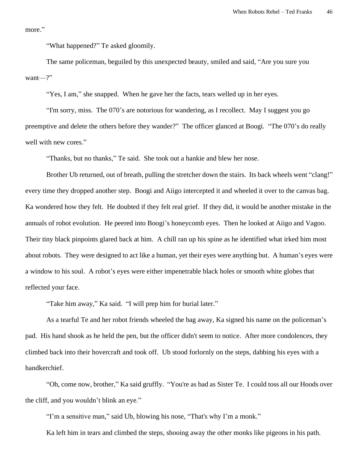more."

"What happened?" Te asked gloomily.

The same policeman, beguiled by this unexpected beauty, smiled and said, "Are you sure you want—?"

"Yes, I am," she snapped. When he gave her the facts, tears welled up in her eyes.

"I'm sorry, miss. The 070's are notorious for wandering, as I recollect. May I suggest you go preemptive and delete the others before they wander?" The officer glanced at Boogi. "The 070's do really well with new cores."

"Thanks, but no thanks," Te said. She took out a hankie and blew her nose.

Brother Ub returned, out of breath, pulling the stretcher down the stairs. Its back wheels went "clang!" every time they dropped another step. Boogi and Aiigo intercepted it and wheeled it over to the canvas bag. Ka wondered how they felt. He doubted if they felt real grief. If they did, it would be another mistake in the annuals of robot evolution. He peered into Boogi's honeycomb eyes. Then he looked at Aiigo and Vagoo. Their tiny black pinpoints glared back at him. A chill ran up his spine as he identified what irked him most about robots. They were designed to act like a human, yet their eyes were anything but. A human's eyes were a window to his soul. A robot's eyes were either impenetrable black holes or smooth white globes that reflected your face.

"Take him away," Ka said. "I will prep him for burial later."

As a tearful Te and her robot friends wheeled the bag away, Ka signed his name on the policeman's pad. His hand shook as he held the pen, but the officer didn't seem to notice. After more condolences, they climbed back into their hovercraft and took off. Ub stood forlornly on the steps, dabbing his eyes with a handkerchief.

"Oh, come now, brother," Ka said gruffly. "You're as bad as Sister Te. I could toss all our Hoods over the cliff, and you wouldn't blink an eye."

"I'm a sensitive man," said Ub, blowing his nose, "That's why I'm a monk."

Ka left him in tears and climbed the steps, shooing away the other monks like pigeons in his path.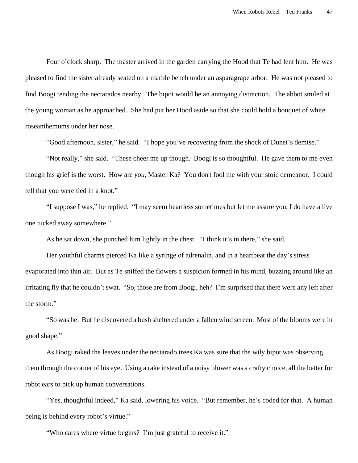Four o'clock sharp. The master arrived in the garden carrying the Hood that Te had lent him. He was pleased to find the sister already seated on a marble bench under an asparagrape arbor. He was not pleased to find Boogi tending the nectarados nearby. The bipot would be an annoying distraction. The abbot smiled at the young woman as he approached. She had put her Hood aside so that she could hold a bouquet of white roseanthemums under her nose.

"Good afternoon, sister," he said. "I hope you've recovering from the shock of Dunei's demise."

"Not really," she said. "These cheer me up though. Boogi is so thoughtful. He gave them to me even though his grief is the worst. How are *you*, Master Ka? You don't fool me with your stoic demeanor. I could tell that you were tied in a knot."

"I suppose I was," he replied. "I may seem heartless sometimes but let me assure you, I do have a live one tucked away somewhere."

As he sat down, she punched him lightly in the chest. "I think it's in there," she said.

Her youthful charms pierced Ka like a syringe of adrenalin, and in a heartbeat the day's stress evaporated into thin air. But as Te sniffed the flowers a suspicion formed in his mind, buzzing around like an irritating fly that he couldn't swat. "So, those are from Boogi, heh? I'm surprised that there were any left after the storm."

"So was he. But he discovered a bush sheltered under a fallen wind screen. Most of the blooms were in good shape."

As Boogi raked the leaves under the nectarado trees Ka was sure that the wily bipot was observing them through the corner of his eye. Using a rake instead of a noisy blower was a crafty choice, all the better for robot ears to pick up human conversations.

"Yes, thoughtful indeed," Ka said, lowering his voice. "But remember, he's coded for that. A human being is behind every robot's virtue."

"Who cares where virtue begins? I'm just grateful to receive it."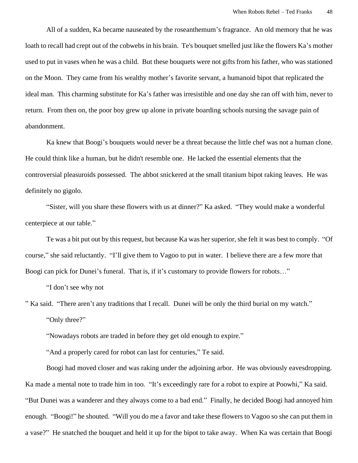All of a sudden, Ka became nauseated by the roseanthemum's fragrance. An old memory that he was loath to recall had crept out of the cobwebs in his brain. Te's bouquet smelled just like the flowers Ka's mother used to put in vases when he was a child. But these bouquets were not gifts from his father, who was stationed on the Moon. They came from his wealthy mother's favorite servant, a humanoid bipot that replicated the ideal man. This charming substitute for Ka's father was irresistible and one day she ran off with him, never to return. From then on, the poor boy grew up alone in private boarding schools nursing the savage pain of abandonment.

Ka knew that Boogi's bouquets would never be a threat because the little chef was not a human clone. He could think like a human, but he didn't resemble one. He lacked the essential elements that the controversial pleasuroids possessed. The abbot snickered at the small titanium bipot raking leaves. He was definitely no gigolo.

"Sister, will you share these flowers with us at dinner?" Ka asked. "They would make a wonderful centerpiece at our table."

Te was a bit put out by this request, but because Ka was her superior, she felt it was best to comply. "Of course," she said reluctantly. "I'll give them to Vagoo to put in water. I believe there are a few more that Boogi can pick for Dunei's funeral. That is, if it's customary to provide flowers for robots..."

"I don't see why not

" Ka said. "There aren't any traditions that I recall. Dunei will be only the third burial on my watch."

"Only three?"

"Nowadays robots are traded in before they get old enough to expire."

"And a properly cared for robot can last for centuries," Te said.

Boogi had moved closer and was raking under the adjoining arbor. He was obviously eavesdropping. Ka made a mental note to trade him in too. "It's exceedingly rare for a robot to expire at Poowhi," Ka said. "But Dunei was a wanderer and they always come to a bad end." Finally, he decided Boogi had annoyed him enough. "Boogi!" he shouted. "Will you do me a favor and take these flowers to Vagoo so she can put them in a vase?" He snatched the bouquet and held it up for the bipot to take away. When Ka was certain that Boogi